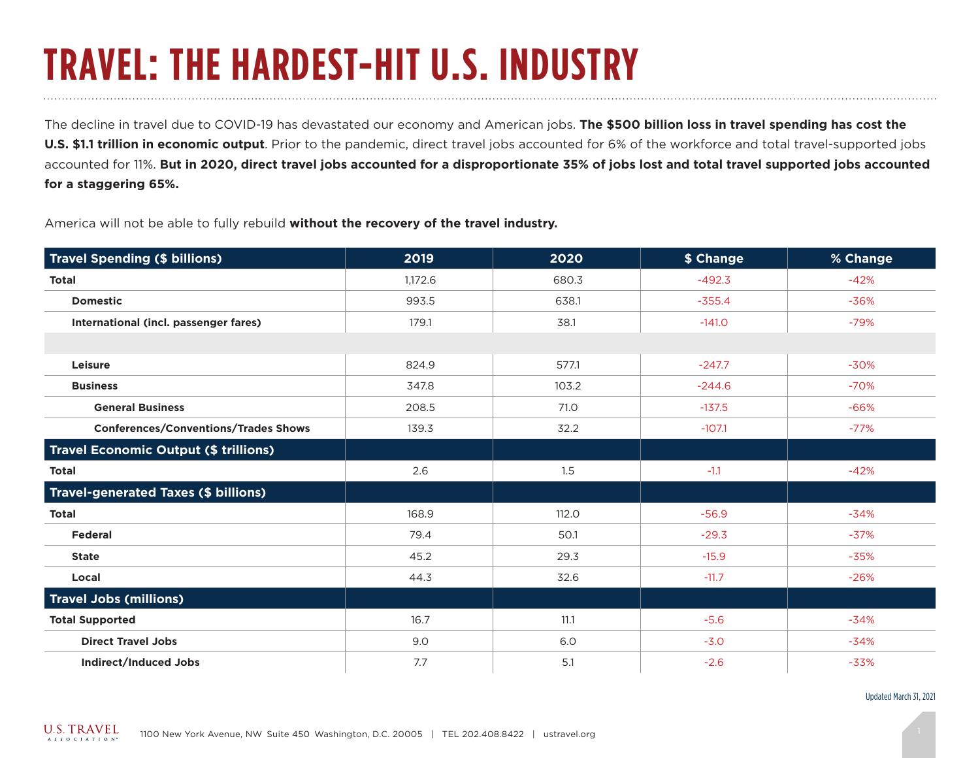## **TRAVEL: THE HARDEST-HIT U.S. INDUSTRY**

The decline in travel due to COVID-19 has devastated our economy and American jobs. **The \$500 billion loss in travel spending has cost the U.S. \$1.1 trillion in economic output**. Prior to the pandemic, direct travel jobs accounted for 6% of the workforce and total travel-supported jobs accounted for 11%. **But in 2020, direct travel jobs accounted for a disproportionate 35% of jobs lost and total travel supported jobs accounted for a staggering 65%.**

America will not be able to fully rebuild **without the recovery of the travel industry.**

| <b>Travel Spending (\$ billions)</b>         | 2019    | 2020  | \$ Change | % Change |
|----------------------------------------------|---------|-------|-----------|----------|
| <b>Total</b>                                 | 1,172.6 | 680.3 | $-492.3$  | $-42%$   |
| <b>Domestic</b>                              | 993.5   | 638.1 | $-355.4$  | $-36%$   |
| International (incl. passenger fares)        | 179.1   | 38.1  | $-141.0$  | $-79%$   |
|                                              |         |       |           |          |
| Leisure                                      | 824.9   | 577.1 | $-247.7$  | $-30%$   |
| <b>Business</b>                              | 347.8   | 103.2 | $-244.6$  | $-70%$   |
| <b>General Business</b>                      | 208.5   | 71.0  | $-137.5$  | $-66%$   |
| <b>Conferences/Conventions/Trades Shows</b>  | 139.3   | 32.2  | $-107.1$  | $-77%$   |
| <b>Travel Economic Output (\$ trillions)</b> |         |       |           |          |
| <b>Total</b>                                 | 2.6     | 1.5   | $-1.1$    | $-42%$   |
| <b>Travel-generated Taxes (\$ billions)</b>  |         |       |           |          |
| <b>Total</b>                                 | 168.9   | 112.0 | $-56.9$   | $-34%$   |
| <b>Federal</b>                               | 79.4    | 50.1  | $-29.3$   | $-37%$   |
| <b>State</b>                                 | 45.2    | 29.3  | $-15.9$   | $-35%$   |
| Local                                        | 44.3    | 32.6  | $-11.7$   | $-26%$   |
| <b>Travel Jobs (millions)</b>                |         |       |           |          |
| <b>Total Supported</b>                       | 16.7    | 11.1  | $-5.6$    | $-34%$   |
| <b>Direct Travel Jobs</b>                    | 9.0     | 6.0   | $-3.0$    | $-34%$   |
| <b>Indirect/Induced Jobs</b>                 | 7.7     | 5.1   | $-2.6$    | $-33%$   |

Updated March 31, 2021